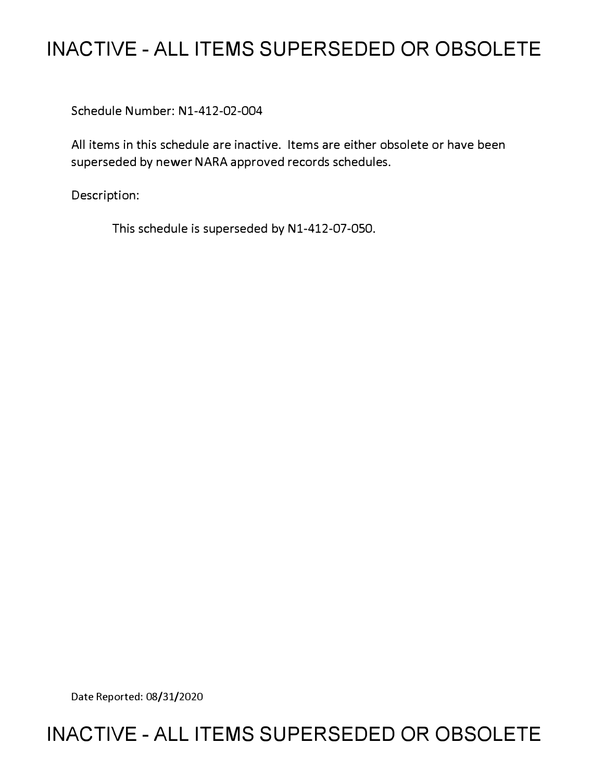# **INACTIVE - ALL ITEMS SUPERSEDED OR OBSOLETE**

Schedule Number: Nl-412-02-004

All items in this schedule are inactive. Items are either obsolete or have been superseded by newer NARA approved records schedules.

Description:

This schedule is superseded by N1-412-07-050.

Date Reported: 08/31/2020

# **INACTIVE - ALL ITEMS SUPERSEDED OR OBSOLETE**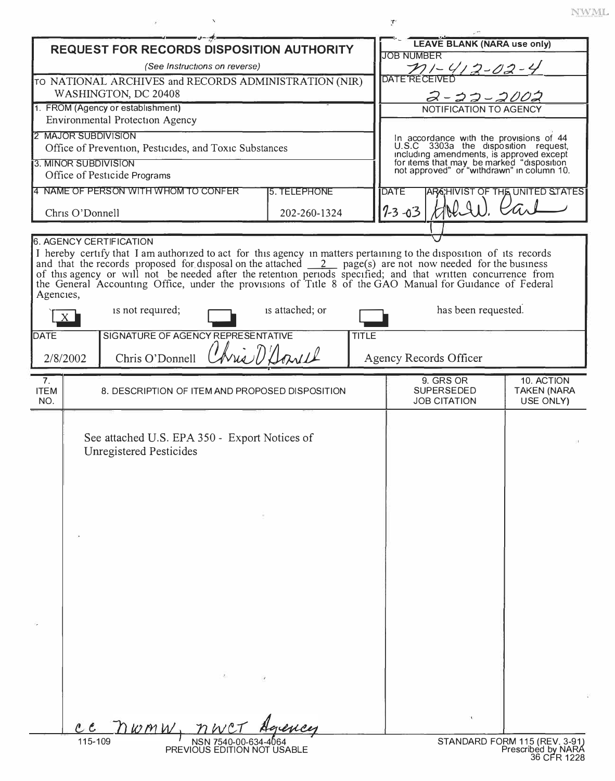| <b>REQUEST FOR RECORDS DISPOSITION AUTHORITY</b>                                                                                                                                                                                                                                                                                                                                                                                                                                                                                |                                                 |                                                                                 |              |                     | <b>LEAVE BLANK (NARA use only)</b>                                                                                                                                                                                     |                                               |  |
|---------------------------------------------------------------------------------------------------------------------------------------------------------------------------------------------------------------------------------------------------------------------------------------------------------------------------------------------------------------------------------------------------------------------------------------------------------------------------------------------------------------------------------|-------------------------------------------------|---------------------------------------------------------------------------------|--------------|---------------------|------------------------------------------------------------------------------------------------------------------------------------------------------------------------------------------------------------------------|-----------------------------------------------|--|
| (See Instructions on reverse)                                                                                                                                                                                                                                                                                                                                                                                                                                                                                                   |                                                 |                                                                                 |              |                     | <b>JOB NUMBER</b><br>$21 - 412 - 02 - 4$                                                                                                                                                                               |                                               |  |
| TO NATIONAL ARCHIVES and RECORDS ADMINISTRATION (NIR)                                                                                                                                                                                                                                                                                                                                                                                                                                                                           |                                                 |                                                                                 |              |                     | <b>DATE RECEIVE</b>                                                                                                                                                                                                    |                                               |  |
| WASHINGTON, DC 20408<br>1. FROM (Agency or establishment)                                                                                                                                                                                                                                                                                                                                                                                                                                                                       |                                                 |                                                                                 |              |                     | <u>2-11-2002</u><br>NOTIFICATION TO AGENCY                                                                                                                                                                             |                                               |  |
| <b>Environmental Protection Agency</b>                                                                                                                                                                                                                                                                                                                                                                                                                                                                                          |                                                 |                                                                                 |              |                     |                                                                                                                                                                                                                        |                                               |  |
| 2 MAJOR SUBDIVISION                                                                                                                                                                                                                                                                                                                                                                                                                                                                                                             |                                                 |                                                                                 |              |                     |                                                                                                                                                                                                                        |                                               |  |
| Office of Prevention, Pesticides, and Toxic Substances                                                                                                                                                                                                                                                                                                                                                                                                                                                                          |                                                 |                                                                                 |              |                     | In accordance with the provisions of 44<br>U.S.C 3303a the disposition request,<br>including amendments, is approved except<br>for items that may be marked "disposition<br>not approved" or "withdrawn" in column 10. |                                               |  |
| 3. MINOR SUBDIVISION<br>Office of Pesticide Programs                                                                                                                                                                                                                                                                                                                                                                                                                                                                            |                                                 |                                                                                 |              |                     |                                                                                                                                                                                                                        |                                               |  |
| 4 NAME OF PERSON WITH WHOM TO CONFER<br><b>5. TELEPHONE</b>                                                                                                                                                                                                                                                                                                                                                                                                                                                                     |                                                 |                                                                                 |              |                     | <b>DATE</b>                                                                                                                                                                                                            | ARGHIVIST OF THE UNITED STATES                |  |
| Chris O'Donnell                                                                                                                                                                                                                                                                                                                                                                                                                                                                                                                 |                                                 |                                                                                 | 202-260-1324 |                     | HALIN.<br>$7 - 3 - 03$                                                                                                                                                                                                 |                                               |  |
|                                                                                                                                                                                                                                                                                                                                                                                                                                                                                                                                 |                                                 |                                                                                 |              |                     |                                                                                                                                                                                                                        |                                               |  |
| <b>6. AGENCY CERTIFICATION</b><br>I hereby certify that I am authorized to act for this agency in matters pertaining to the disposition of its records<br>and that the records proposed for disposal on the attached $\frac{2}{\sqrt{2}}$ page(s) are not now needed for the business<br>of this agency or will not be needed after the retention periods specified; and that written concurrence from<br>the General Accounting Office, under the provisions of Title 8 of the GAO Manual for Guidance of Federal<br>Agencies, |                                                 |                                                                                 |              |                     |                                                                                                                                                                                                                        |                                               |  |
|                                                                                                                                                                                                                                                                                                                                                                                                                                                                                                                                 | is attached; or<br>is not required;             |                                                                                 |              | has been requested. |                                                                                                                                                                                                                        |                                               |  |
| SIGNATURE OF AGENCY REPRESENTATIVE<br><b>TITLE</b><br><b>DATE</b>                                                                                                                                                                                                                                                                                                                                                                                                                                                               |                                                 |                                                                                 |              |                     |                                                                                                                                                                                                                        |                                               |  |
|                                                                                                                                                                                                                                                                                                                                                                                                                                                                                                                                 | Chris O'Donnell Chris D'Agrill<br>2/8/2002      |                                                                                 |              |                     | <b>Agency Records Officer</b>                                                                                                                                                                                          |                                               |  |
| 7.<br><b>ITEM</b><br>NO.                                                                                                                                                                                                                                                                                                                                                                                                                                                                                                        | 8. DESCRIPTION OF ITEM AND PROPOSED DISPOSITION |                                                                                 |              |                     | 9. GRS OR<br><b>SUPERSEDED</b><br><b>JOB CITATION</b>                                                                                                                                                                  | 10. ACTION<br><b>TAKEN (NARA</b><br>USE ONLY) |  |
|                                                                                                                                                                                                                                                                                                                                                                                                                                                                                                                                 |                                                 | See attached U.S. EPA 350 - Export Notices of<br><b>Unregistered Pesticides</b> |              |                     |                                                                                                                                                                                                                        |                                               |  |
|                                                                                                                                                                                                                                                                                                                                                                                                                                                                                                                                 | $c\,\epsilon$                                   | DwmW                                                                            | gency        |                     | $\mathbf{1}$                                                                                                                                                                                                           |                                               |  |
| 115-109<br>STANDARD FORM 115 (REV. 3-91)<br>NSN 7540-00-634-4064<br>PREVIOUS EDITION NOT USABLE<br>Prescribed by NARA<br>36 CFR 1228                                                                                                                                                                                                                                                                                                                                                                                            |                                                 |                                                                                 |              |                     |                                                                                                                                                                                                                        |                                               |  |

 $\mathbf{T}^{\epsilon}$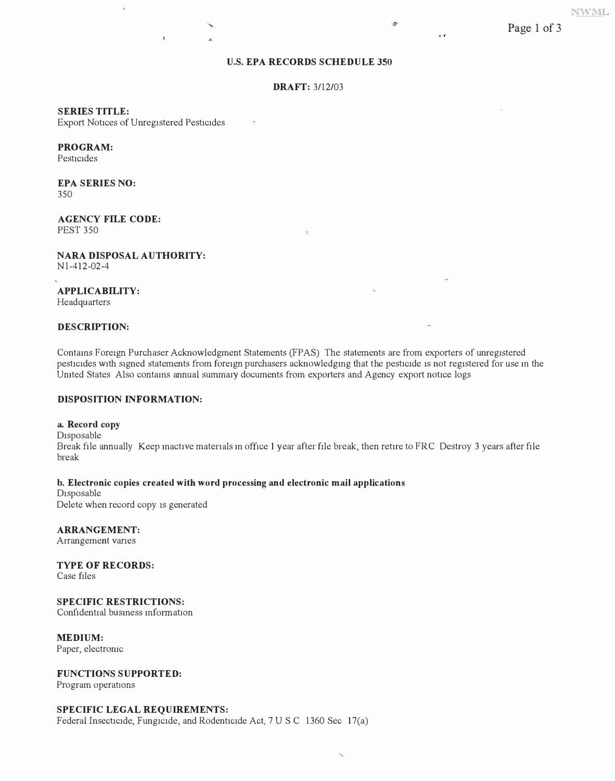## **U.S. EPA RECORDS SCHEDULE 350**

#### **DRAFT:** 3/12/03

 $\bar{\mathbf{t}}$ 

#### **SERIES TITLE:**

Export Notices of Unregistered Pesticides

¥.

### **PROGRAM:**

Pesticides

#### **EPA SERIES NO:**  350

**AGENCY FILE CODE:**  PEST 350

**NARA DISPOSAL AUTHORITY:**  N l-412-02-4

**APPLICABILITY:**  Headquarters

#### **DESCRIPTION:**

Contains Foreign Purchaser Acknowledgment Statements (FPAS) The statements are from exporters of unregistered pesticides with signed statements from foreign purchasers acknowledgmg that the pesticide is not registered for use m the United States Also contains annual summary documents from exporters and Agency export notice logs

#### **DISPOSITION INFORMATION:**

## a. **Record copy**

Disposable Break file annually Keep mactive materials m office 1 year after file break, then retire to FRC Destroy 3 years after file break

#### **b. Electronic copies created with word processing and electronic mail applications**

Disposable Delete when record copy is generated

**ARRANGEMENT:**  Arrangement vanes

**TYPE OF RECORDS:** 

Case files

# **SPECIFIC RESTRICTIONS:**

Confidential business information

**MEDIUM:** 

Paper, electronic

## **FUNCTIONS SUPPORTED:**

Program operations

#### **SPECIFIC LEGAL REQUIREMENTS:**

Federal Insecticide, Fungicide, and Rodenticide Act, 7 U S C 1360 Sec 17(a)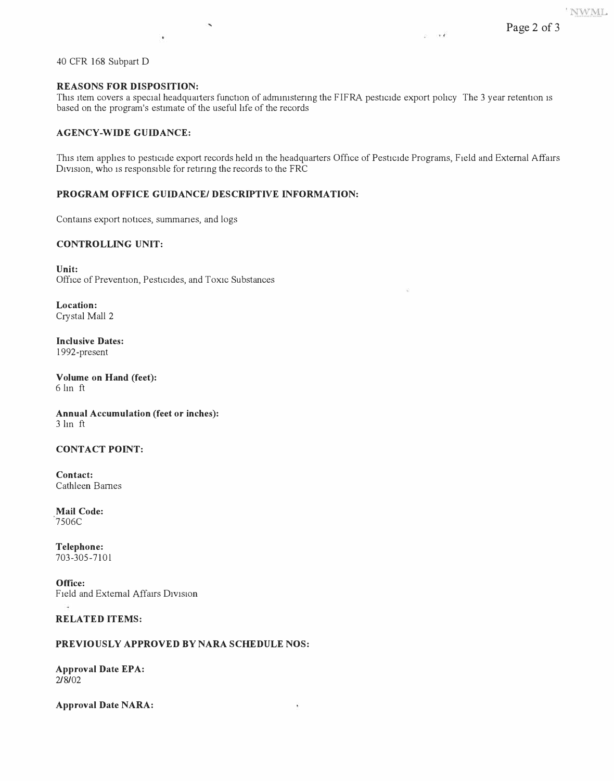40 CFR 168 Subpart D

## **REASONS FOR DISPOSITION:**

 $\vec{r}$ 

This item covers a special headquaiters function of administering the FIFRA pesticide export policy The 3 year retention is based on the program's estimate of the useful life of the records

# **AGENCY-WIDE GUIDANCE:**

This item applies to pesticide export records held m the headquarters Office of Pesticide Programs, Field and External Affatrs Division, who is responsible for retiring the records to the FRC

¥

# **PROGRAM OFFICE GUIDANCE/ DESCRIPTIVE INFORMATION:**

 $\ddot{\phantom{1}}$ 

Contams export notices, summanes, and logs

# **CONTROLLING UNIT:**

**Unit:**  Office of Prevention, Pesticides, and Toxic Substances

**Location:**  Crystal Mall 2

**Inclusive Dates:**  1992-present

**Volume on Hand (feet):**  6 lm ft

**Annual Accumulation (feet or inches):**  3 lm ft

## **CONTACT POINT:**

**Contact:**  Cathleen Barnes

**Mail Code:**  7506C

**Telephone:**  703-305-7101

**Office:**  Field and External Affairs D1v1s10n ä

## **RELATED ITEMS:**

## **PREVIOUSLY APPROVED BY NARA SCHEDULE NOS:**

**Approval Date EPA:**  2/8/02

**Approval Date NARA:**